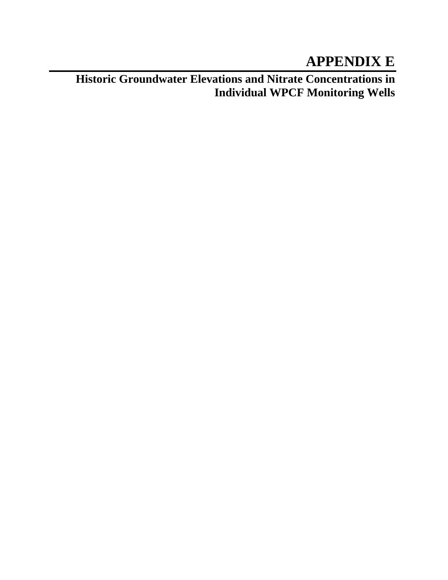## **APPENDIX E**

**Historic Groundwater Elevations and Nitrate Concentrations in Individual WPCF Monitoring Wells**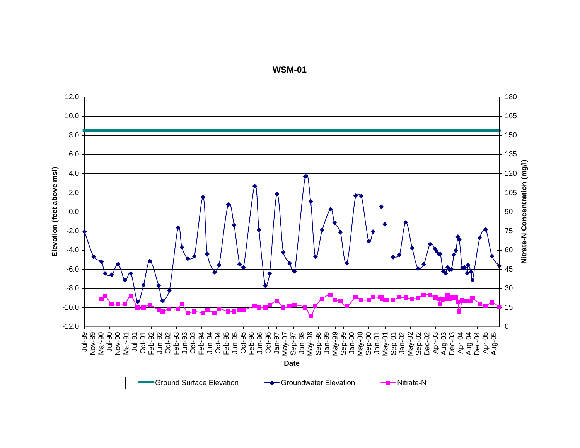12.0 180 10.0 165 8.0 150 6.0 135 Nitrate-N Concentration (mg/l) **Nitrate-N Concentration (mg/l)** Elevation (feet above msl) **Elevation (feet above msl)** 4.0 120 2.0 105 ◀ 0.090-2.0 75 60-4.0 -6.0 45 -8.0 30 -10.0 15 0-12.0 Jul-89 Nov-89 Mar-90 Jul-90 Nov-90 Mar-91 Jul-91 Oct-91 Feb-92 Jun-92 Oct-92 Feb-93 Jun-93 Oct-93 Feb-94 Jun-94 Oct-94 Feb-95 Jun-95 Oct-95 Feb-96 Jun-96 Oct-96 Jan-97 May-97 Sep-97 Jan-98 May-98 Sep-98 Jan-99 May-99 Sep-99 Jan-00 May-00 Sep-00 Jan-01 May-01 Sep-01 Jan-02 May-02 Sep-02 Dec-02 Apr-03 Aug-03 Dec-03 Apr-04 Aug-04 Dec-04 Apr-05 Aug-05 **Date**Ground Surface ElevationGroundwater Elevation - - Nitrate-N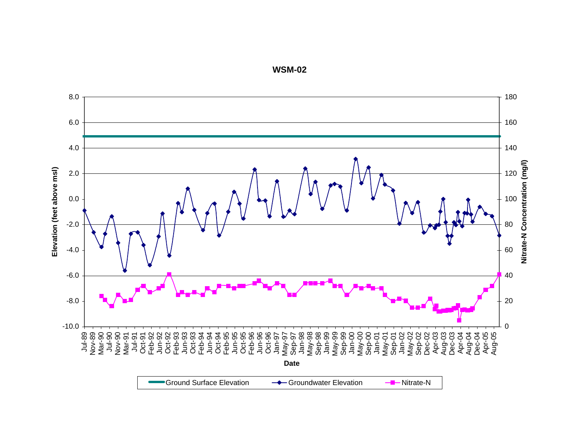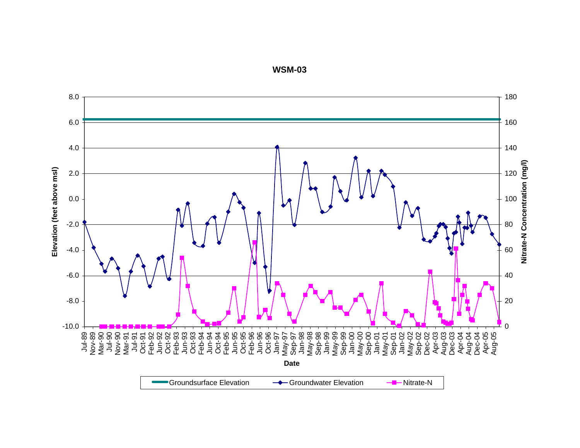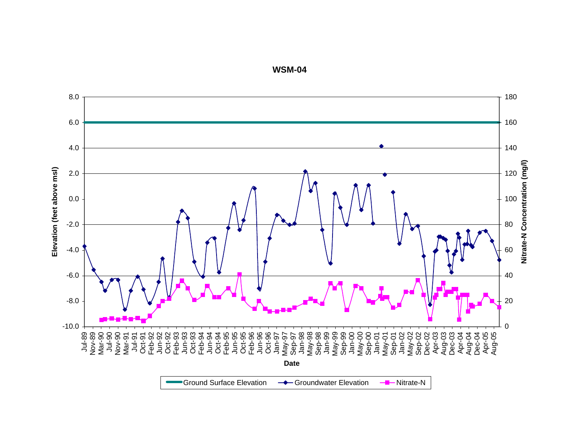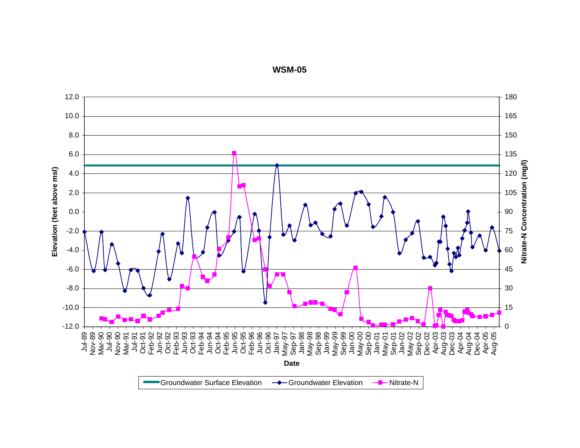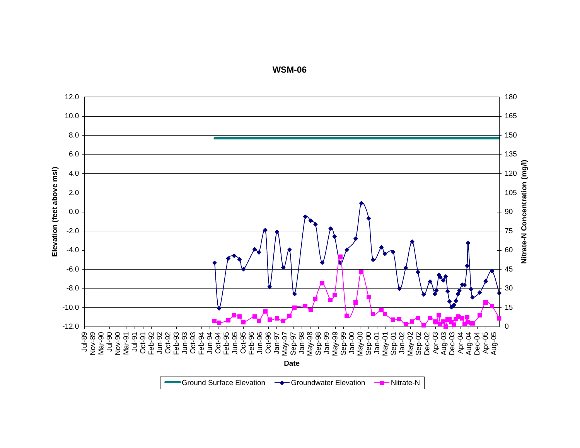12.0 180 10.0 165 8.0 150 6.0 135 Nitrate-N Concentration (mg/l) **Nitrate-N Concentration (mg/l)** Elevation (feet above msl) **Elevation (feet above msl)** 4.0 120 2.0 105 0.090-2.0 75 60-4.0-6.0 45 -8.0 30 15-10.0 0-12.0 Jul-89 Nov-89 Mar-90 Jul-90 Nov-90 Mar-91 Jul-91 Oct-91 Feb-92 Jun-92 Oct-92 Feb-93 Jun-93 Oct-93 Feb-94 Jun-94 Oct-94 Feb-95 Jun-95 Oct-95 Feb-96 Jun-96 Oct-96 Jan-97 May-97 Sep-97 Jan-98 May-98 Sep-98 Jan-99 May-99 Sep-99 Jan-00 May-00 Sep-00 Jan-01 May-01 Sep-01 Jan-02 May-02 Sep-02 Dec-02 Apr-03 Aug-03 Dec-03 Apr-04 Aug-04 Dec-04 Apr-05 Aug-05 **Date**Ground Surface ElevationGroundwater Elevation - Nitrate-N

**WSM-06**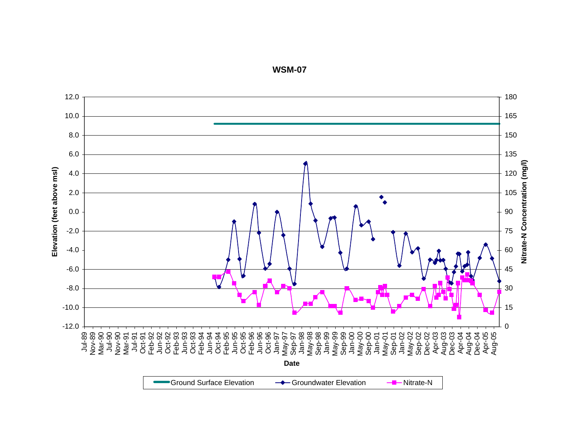12.0 180 10.01658.0 150 6.0135 Nitrate-N Concentration (mg/l) **Nitrate-N Concentration (mg/l)** Elevation (feet above msl) **Elevation (feet above msl)** 4.0 120 2.0 105 0.09075-2.0 -4.060-6.0 45 -8.0 30 -10.0 15 0-12.0 Jul-89 Nov-89 Mar-90 Jul-90 Nov-90 Mar-91 Jul-91 Oct-91 Feb-92 Jun-92 Oct-92 Feb-93 Jun-93 Oct-93 Feb-94 Jun-94 Oct-94 Feb-95 Jun-95 Oct-95 Feb-96 Jun-96 Oct-96 Jan-97 May-97 Sep-97 Jan-98 May-98 Sep-98 Jan-99 May-99 Sep-99 Jan-00 May-00 Sep-00 Jan-01 May-01 Sep-01 Jan-02 May-02 Sep-02 Dec-02 Apr-03 Aug-03 Dec-03 Apr-04 Aug-04 Dec-04 Apr-05 Aug-05 **Date**Ground Surface ElevationGroundwater Elevation - Nitrate-N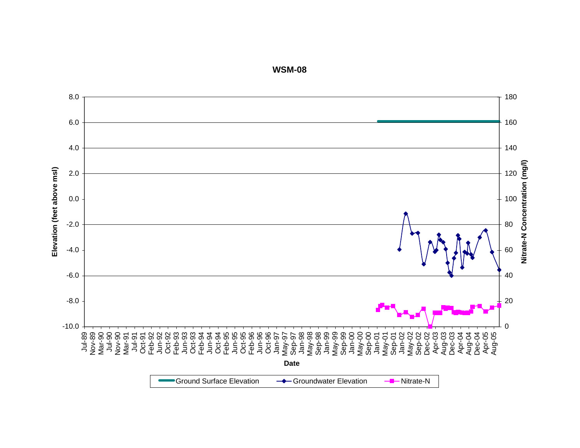8.0 180 6.0 160 4.0 140 Nitrate-N Concentration (mg/l) **Nitrate-N Concentration (mg/l)** Elevation (feet above msl) **Elevation (feet above msl)** 2.0 120 1000.0-2.0 80 -4.060-6.040-8.0 20 0-10.0 Jul-89 Nov-89 Mar-90 Jul-90 Nov-90 Mar-91 Jul-91 Oct-91 Feb-92 Jun-92 Oct-92 Feb-93 Jun-93 Oct-93 Feb-94 Jun-94 Oct-94 Feb-95 Jun-95 Oct-95 Feb-96 Jun-96 Oct-96 Jan-97 May-97 Sep-97 Jan-98 May-98 Sep-98 Jan-99 May-99 Sep-99 Jan-00 May-00 Sep-00 Jan-01 May-01 Sep-01 Jan-02 May-02 Sep-02 Dec-02 Apr-03 Aug-03 Dec-03 Apr-04 Aug-04 Dec-04 Apr-05 Aug-05 **Date**Ground Surface ElevationGroundwater Elevation - Antrate-N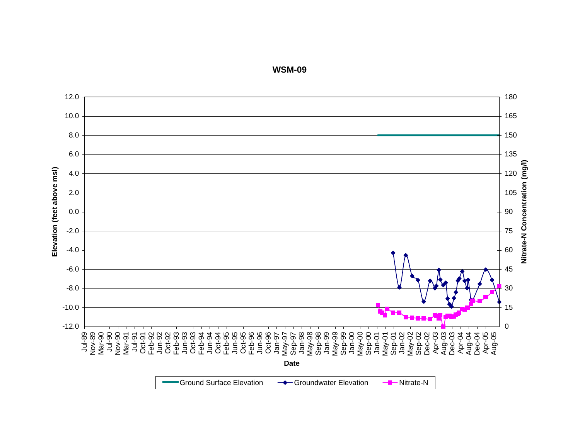12.0180 10.01658.0 150 6.0135 Nitrate-N Concentration (mg/l) **Nitrate-N Concentration (mg/l)** Elevation (feet above msl) **Elevation (feet above msl)** 4.0 120 2.0 105 0.09075-2.0 60-4.0-6.0 45 -8.0 30 15-10.0 <u>та на те</u> 0-12.0 Jul-89 Nov-89 Mar-90 Jul-90 Nov-90 Mar-91 Jul-91 Oct-91 Feb-92 Jun-92 Oct-92 Feb-93 Jun-93 Oct-93 Feb-94 Jun-94 Oct-94 Feb-95 Jun-95 Oct-95 Feb-96 Jun-96 Oct-96 Jan-97 May-97 Sep-97 Jan-98 May-98 Sep-98 Jan-99 May-99 Sep-99 Jan-00 May-00 Sep-00 Jan-01 May-01 Sep-01 Jan-02 May-02 Sep-02 Dec-02 Apr-03 Aug-03 Dec-03 Apr-04 Aug-04 Dec-04 Apr-05 Aug-05 **Date**Ground Surface Elevation $\rightarrow$  Groundwater Elevation  $\rightarrow$  Nitrate-N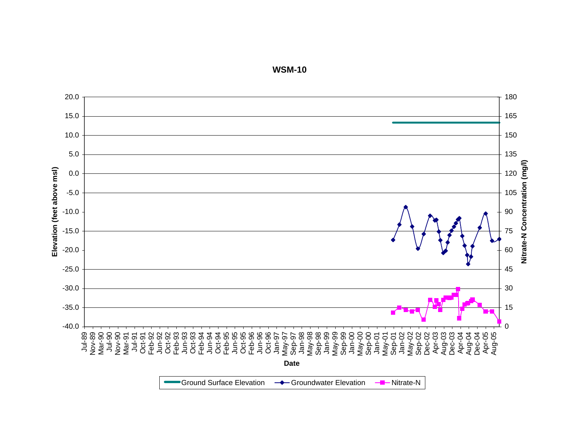

**WSM-10**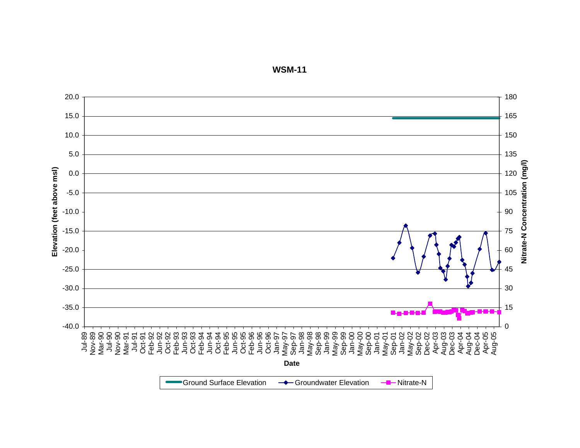20.0180 15.016510.0 150 5.0135 Nitrate-N Concentration (mg/l) **Nitrate-N Concentration (mg/l)** Elevation (feet above msl) **Elevation (feet above msl)** 0.0 120 -5.0 105 -10.09075-15.0 60-20.0 -25.0 45 -30.0 30 -35.0 15 5-a-2-2-2 0-40.0 Jul-89 Nov-89 Mar-90 Jul-90 Nov-90 Mar-91 Jul-91 Oct-91 Feb-92 Jun-92 Oct-92 Feb-93 Jun-93 Oct-93 Feb-94 Jun-94 Oct-94 Feb-95 Jun-95 Oct-95 Feb-96 Jun-96 Oct-96 Jan-97 May-97 Sep-97 Jan-98 May-98 Sep-98 Jan-99 May-99 Sep-99 Jan-00 May-00 Sep-00 Jan-01 May-01 Sep-01 Jan-02 May-02 Sep-02 Dec-02 Apr-03 Aug-03 Dec-03 Apr-04 Aug-04 Dec-04 Apr-05 Aug-05 **Date**Ground Surface Elevation $\rightarrow$  Groundwater Elevation  $\rightarrow$  Nitrate-N

**WSM-11**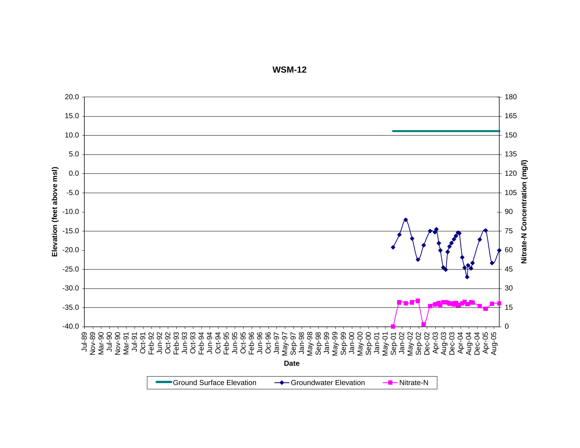

**WSM-12**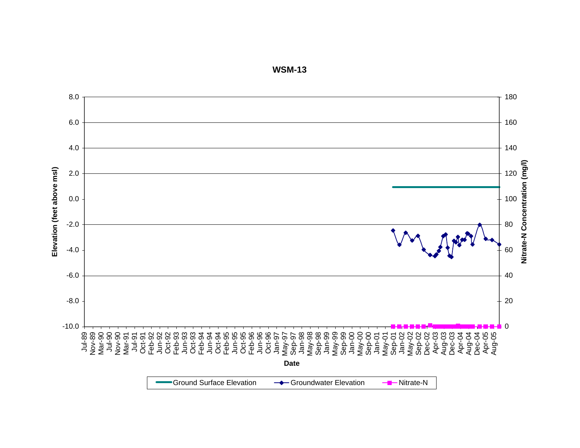

**WSM-13**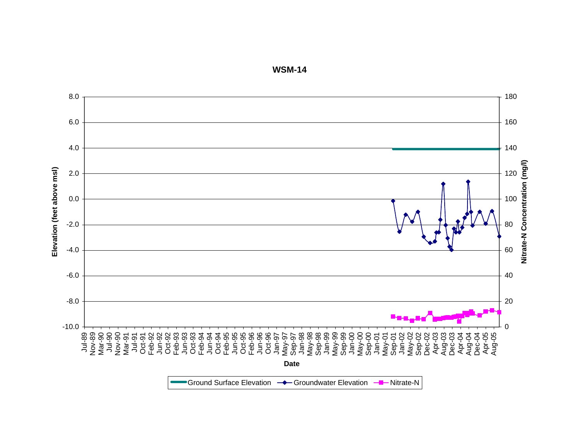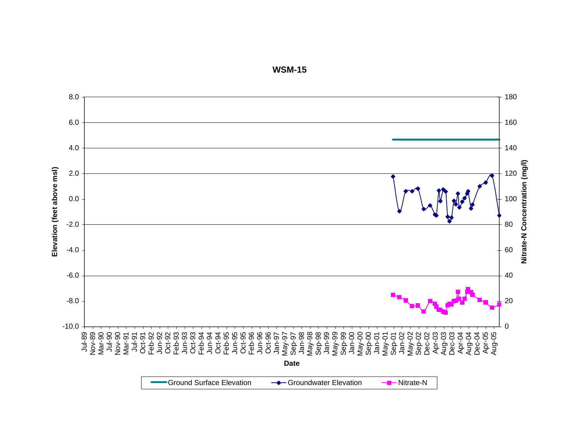

**WSM-15**